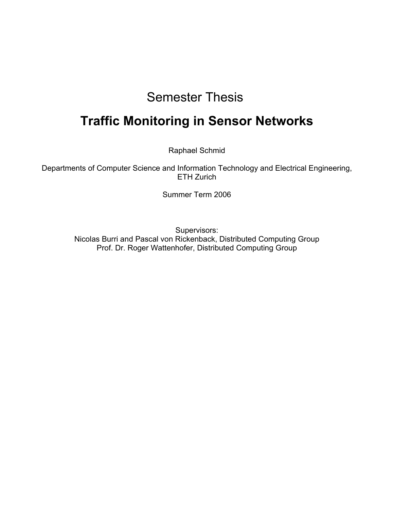# Semester Thesis

# **Traffic Monitoring in Sensor Networks**

Raphael Schmid

Departments of Computer Science and Information Technology and Electrical Engineering, ETH Zurich

Summer Term 2006

Supervisors: Nicolas Burri and Pascal von Rickenback, Distributed Computing Group Prof. Dr. Roger Wattenhofer, Distributed Computing Group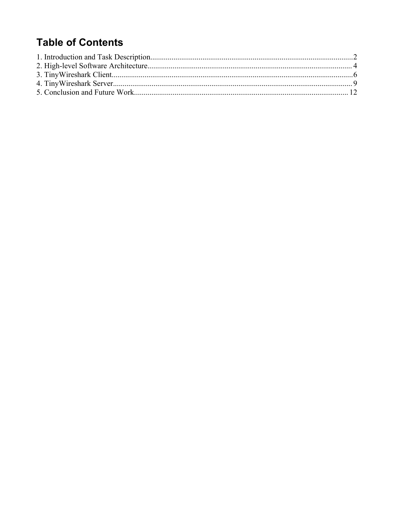### **Table of Contents**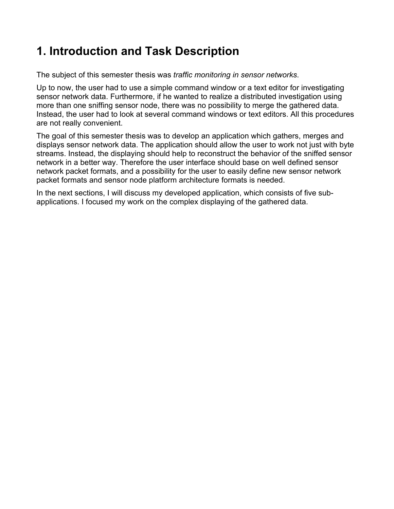## **1. Introduction and Task Description**

The subject of this semester thesis was *traffic monitoring in sensor networks*.

Up to now, the user had to use a simple command window or a text editor for investigating sensor network data. Furthermore, if he wanted to realize a distributed investigation using more than one sniffing sensor node, there was no possibility to merge the gathered data. Instead, the user had to look at several command windows or text editors. All this procedures are not really convenient.

The goal of this semester thesis was to develop an application which gathers, merges and displays sensor network data. The application should allow the user to work not just with byte streams. Instead, the displaying should help to reconstruct the behavior of the sniffed sensor network in a better way. Therefore the user interface should base on well defined sensor network packet formats, and a possibility for the user to easily define new sensor network packet formats and sensor node platform architecture formats is needed.

In the next sections, I will discuss my developed application, which consists of five subapplications. I focused my work on the complex displaying of the gathered data.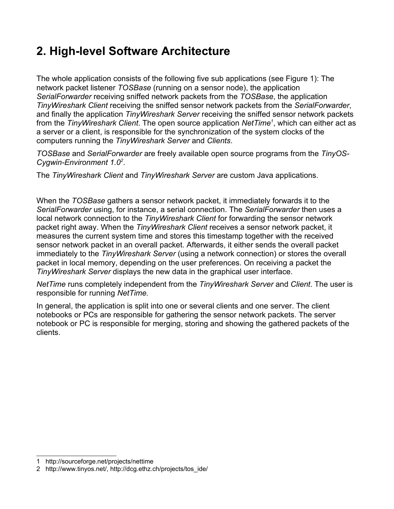## **2. High-level Software Architecture**

The whole application consists of the following five sub applications (see Figure 1): The network packet listener *TOSBase* (running on a sensor node), the application *SerialForwarder* receiving sniffed network packets from the *TOSBase*, the application *TinyWireshark Client* receiving the sniffed sensor network packets from the *SerialForwarder*, and finally the application *TinyWireshark Server* receiving the sniffed sensor network packets from the *TinyWireshark Client*. The open source application *NetTime[1](#page-3-0)* , which can either act as a server or a client, is responsible for the synchronization of the system clocks of the computers running the *TinyWireshark Server* and *Clients*.

*TOSBase* and *SerialForwarder* are freely available open source programs from the *TinyOS-Cygwin-Environment 1.0 [2](#page-3-1)* .

The *TinyWireshark Client* and *TinyWireshark Server* are custom Java applications.

When the *TOSBase* gathers a sensor network packet, it immediately forwards it to the *SerialForwarder* using, for instance, a serial connection. The *SerialForwarder* then uses a local network connection to the *TinyWireshark Client* for forwarding the sensor network packet right away. When the *TinyWireshark Client* receives a sensor network packet, it measures the current system time and stores this timestamp together with the received sensor network packet in an overall packet. Afterwards, it either sends the overall packet immediately to the *TinyWireshark Server* (using a network connection) or stores the overall packet in local memory, depending on the user preferences. On receiving a packet the *TinyWireshark Server* displays the new data in the graphical user interface.

*NetTime* runs completely independent from the *TinyWireshark Server* and *Client*. The user is responsible for running *NetTime.*

In general, the application is split into one or several clients and one server. The client notebooks or PCs are responsible for gathering the sensor network packets. The server notebook or PC is responsible for merging, storing and showing the gathered packets of the clients.

<span id="page-3-0"></span><sup>1</sup> http://sourceforge.net/projects/nettime

<span id="page-3-1"></span><sup>2</sup> http://www.tinyos.net/, http://dcg.ethz.ch/projects/tos\_ide/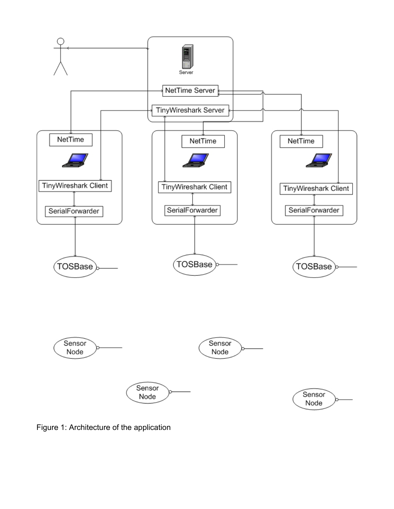

Figure 1: Architecture of the application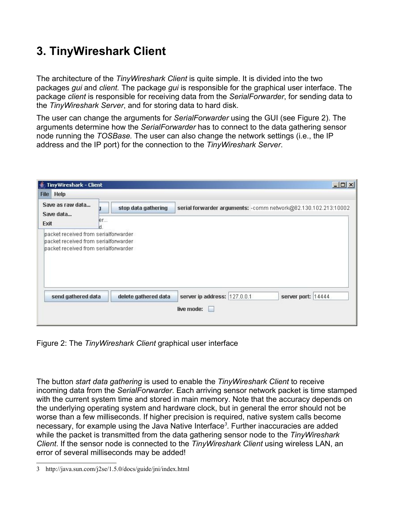# **3. TinyWireshark Client**

The architecture of the *TinyWireshark Client* is quite simple. It is divided into the two packages *gui* and *client.* The package *gui* is responsible for the graphical user interface. The package *client* is responsible for receiving data from the *SerialForwarder*, for sending data to the *TinyWireshark Server*, and for storing data to hard disk.

The user can change the arguments for *SerialForwarder* using the GUI (see Figure 2). The arguments determine how the *SerialForwarder* has to connect to the data gathering sensor node running the *TOSBase.* The user can also change the network settings (i.e., the IP address and the IP port) for the connection to the *TinyWireshark Server*.

| TinyWireshark - Client                                                                             |                      | $ \Box$ $\times$                                                |
|----------------------------------------------------------------------------------------------------|----------------------|-----------------------------------------------------------------|
| <b>File Help</b>                                                                                   |                      |                                                                 |
| Save as raw data<br>Save data                                                                      | stop data gathering  | serial forwarder arguments: - comm network@82.130.102.213:10002 |
| Exit                                                                                               | er                   |                                                                 |
| packet received from serialforwarder<br>packet received from serialforwarder<br>send gathered data | delete gathered data | server ip address: 127.0.0.1<br>server port: 14444              |
|                                                                                                    |                      | live mode:                                                      |
|                                                                                                    |                      |                                                                 |

Figure 2: The *TinyWireshark Client* graphical user interface

The button *start data gathering* is used to enable the *TinyWireshark Client* to receive incoming data from the *SerialForwarder*. Each arriving sensor network packet is time stamped with the current system time and stored in main memory. Note that the accuracy depends on the underlying operating system and hardware clock, but in general the error should not be worse than a few milliseconds. If higher precision is required, native system calls become necessary, for example using the Java Native Interface*[3](#page-5-0)* . Further inaccuracies are added while the packet is transmitted from the data gathering sensor node to the *TinyWireshark Client*. If the sensor node is connected to the *TinyWireshark Client* using wireless LAN, an error of several milliseconds may be added!

<span id="page-5-0"></span><sup>3</sup> http://java.sun.com/j2se/1.5.0/docs/guide/jni/index.html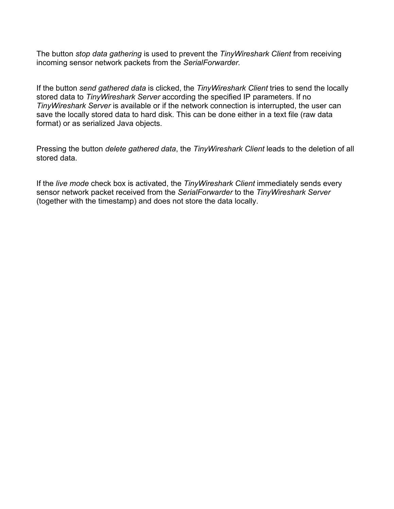The button *stop data gathering* is used to prevent the *TinyWireshark Client* from receiving incoming sensor network packets from the *SerialForwarder.*

If the button *send gathered data* is clicked, the *TinyWireshark Client* tries to send the locally stored data to *TinyWireshark Server* according the specified IP parameters. If no *TinyWireshark Server* is available or if the network connection is interrupted, the user can save the locally stored data to hard disk. This can be done either in a text file (raw data format) or as serialized Java objects.

Pressing the button *delete gathered data*, the *TinyWireshark Client* leads to the deletion of all stored data.

If the *live mode* check box is activated, the *TinyWireshark Client* immediately sends every sensor network packet received from the *SerialForwarder* to the *TinyWireshark Server* (together with the timestamp) and does not store the data locally.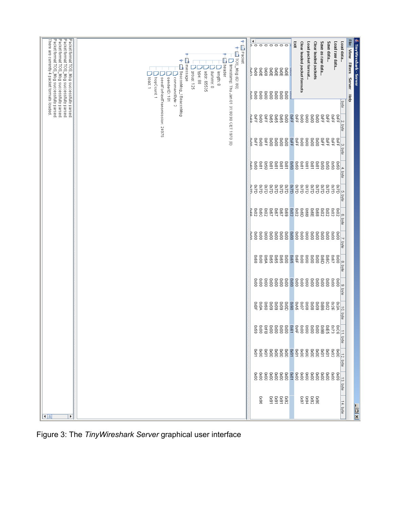| Packet format TOS_Msg successfully parsed<br>Packet format TOS_Msg successfully parsed.<br>Packet format TOS_Msg successfully parsed<br>Packet format TOS_Msg successfully parsed<br>There are currently 4 packet formats loaded. | $\blacktriangleleft$<br><b>P</b> □ Packet<br>ь<br>$\circ$<br>$\circ$ $\circ$<br>$\circ$<br>$\circ$<br>$\circ$<br>$\circ$<br>OB: (C) DSP ON SOLE<br>-0<br>↑ Ill header<br>۴<br>  timestamp: Thu Jan 01 01:00:00 CET 1970 (0)<br>message<br>E BeaconMsg_tBeaconMsg<br>80XQ<br><b>BxdE</b><br>$\frac{8}{10}$<br>$\frac{8}{10}$<br>Polo<br>80XQ<br>$\frac{8}{20}$<br>90KE<br>J group: 125<br>] length: 8<br>type: 80<br>addr: 65535<br>dummy: 0<br>commandByte: 2<br>load:1<br>hopCount 1<br>senderID: 101<br>ese<br>G<br>00X0<br>00X0<br>888<br>pol | <u> 《</u> TinyWireshark - Server<br>File View Filters<br>Clear loaded packets<br>Save as raw data<br>Save data<br>Load raw data<br>Load data<br>Exit<br>Clear loaded packet formats<br>Load packet format<br>oxoo<br><b>Server</b><br>Help |
|-----------------------------------------------------------------------------------------------------------------------------------------------------------------------------------------------------------------------------------|--------------------------------------------------------------------------------------------------------------------------------------------------------------------------------------------------------------------------------------------------------------------------------------------------------------------------------------------------------------------------------------------------------------------------------------------------------------------------------------------------------------------------------------------------|--------------------------------------------------------------------------------------------------------------------------------------------------------------------------------------------------------------------------------------------|
|                                                                                                                                                                                                                                   | seedForNextTransmission: 24976<br>$\frac{1}{2}$ XG<br><b>G865</b><br>980<br><b>G8XD</b><br>0000<br>욕<br>주<br>DuRo                                                                                                                                                                                                                                                                                                                                                                                                                                | <b>Syte</b><br><b>OxFF</b><br><b>ARS</b><br>$\frac{8}{2}$<br>$_{0000}$<br>$\frac{8}{2}$<br>$\frac{1}{2}$ XD<br>혹옦<br><b>DXFF</b><br>ĿN<br>axe                                                                                              |
|                                                                                                                                                                                                                                   | $\frac{5}{2}$<br>0000<br>$0000$<br>욕<br>주<br>$0000$<br>0000<br>poli                                                                                                                                                                                                                                                                                                                                                                                                                                                                              | <b>DXFF</b><br>$\frac{8}{2}$<br>$_{0000}$<br>$\frac{8}{2}$<br><b>BKFF</b><br>욕<br>주<br><b>SKFF</b><br><b>DXFF</b><br>図<br>$\omega$<br>laxe<br>T                                                                                            |
|                                                                                                                                                                                                                                   | $\begin{array}{c} 8888 \\ 8888 \\ \end{array}$<br>1800<br>09XQ<br>Daen<br>09XQ                                                                                                                                                                                                                                                                                                                                                                                                                                                                   | 0930<br>$1800$<br>08.61<br>08.61<br>18x0<br>0x81<br>980<br>0920<br>09XQ<br>0980<br>$\rightarrow$<br>ioyte                                                                                                                                  |
|                                                                                                                                                                                                                                   | QXQ<br>QZXD<br>02X0<br>QZXD<br><b>CXCD</b><br>QZXO<br>02X0<br>P<br>C2D                                                                                                                                                                                                                                                                                                                                                                                                                                                                           | OZXD<br><b>Q2XD</b><br>QZXO<br>02X0<br>QZXQ<br>QZXD<br>QZXO<br>QZXD<br>OZXO<br>Q2KD<br>ζħ,<br>byte                                                                                                                                         |
|                                                                                                                                                                                                                                   | 2000<br>$\sqrt{280}$<br>1900<br>2000<br>080<br>78X0<br>69XQ<br>nga                                                                                                                                                                                                                                                                                                                                                                                                                                                                               | 0x02<br>2000<br>B <sub>8XD</sub><br>$\frac{50}{20}$<br>89XQ<br><b>COXO</b><br>$\frac{8}{6}$<br>COXO<br><b>COXO</b><br>2000<br>စြာ<br>axe                                                                                                   |
|                                                                                                                                                                                                                                   | $0000$<br>0000<br>$\frac{8}{2}$<br>0000<br>$0000$<br>$\frac{8}{2}$<br>$\frac{8}{2}$<br>Popp                                                                                                                                                                                                                                                                                                                                                                                                                                                      | 00XQ<br>$\frac{8}{2}$<br>0000<br>0000<br>0000<br>$\frac{8}{2}$<br>$\frac{8}{2}$<br>$\frac{8}{2}$<br>$\frac{8}{2}$<br>$\frac{8}{2}$<br>S,<br>iste<br>Ste                                                                                    |
|                                                                                                                                                                                                                                   | <b>Dx6A</b><br><b>G8XD</b><br><b>G8XD</b><br><b>980</b><br>$\frac{8}{2}$<br>0000<br>89XQ                                                                                                                                                                                                                                                                                                                                                                                                                                                         | <b>Dx65</b><br>$_{0000}^\circ$<br>0000<br>$_{000}$<br>$\frac{8}{2}$<br>O8KD<br>29XQ<br>98Q<br>080<br>$\frac{8}{2}$<br>ļ∞<br>ioyte                                                                                                          |
|                                                                                                                                                                                                                                   | $\frac{8}{2}$<br>00X0<br>$0000$<br>$1000$<br>0000<br>0000<br>$\frac{8}{2}$                                                                                                                                                                                                                                                                                                                                                                                                                                                                       | 00XD<br>$\frac{80}{20}$<br>0000<br>$0000$<br>$\frac{8}{2}$<br>$\frac{8}{2}$<br>$\frac{8}{2}$<br>$\frac{8}{2}$<br>0000<br>$\frac{8}{2}$<br>$\infty$<br>ia<br>Si                                                                             |
|                                                                                                                                                                                                                                   | 60XQ<br>60X0<br>60X0<br>DxdA<br>DxdF<br>09XD<br>$\frac{8}{6}$                                                                                                                                                                                                                                                                                                                                                                                                                                                                                    | 06XQ<br><b>B</b><br>2005<br>2005<br>$8000\,$<br>$80\times$<br>60XQ<br>980<br>BX2E<br>COXO<br><b>DK3A</b><br>Þ<br>ia<br>Tai                                                                                                                 |
|                                                                                                                                                                                                                                   |                                                                                                                                                                                                                                                                                                                                                                                                                                                                                                                                                  | ooxoo<br>DxE5<br><b>EZXO</b><br>$rac{50}{20}$<br>11. byte                                                                                                                                                                                  |
|                                                                                                                                                                                                                                   | $888888888888$                                                                                                                                                                                                                                                                                                                                                                                                                                                                                                                                   | 0000<br><b>ggggg</b><br>$\begin{array}{c} 0000 \\ 0000 \end{array}$<br>$\frac{1}{2}$<br>byte                                                                                                                                               |
|                                                                                                                                                                                                                                   | $88888888888888$                                                                                                                                                                                                                                                                                                                                                                                                                                                                                                                                 | 8888<br>60X0<br>0000<br>Įΰ<br>axte.                                                                                                                                                                                                        |
| $\blacksquare$<br>$\blacktriangleright$                                                                                                                                                                                           | <b>BEER</b><br>BEER<br>96XQ                                                                                                                                                                                                                                                                                                                                                                                                                                                                                                                      | 3<br>28<br>28<br>28<br>28<br>28<br>14. byte<br>$\overline{\mathbf{X}$                                                                                                                                                                      |

Figure 3: The *TinyWireshark Server* graphical user interface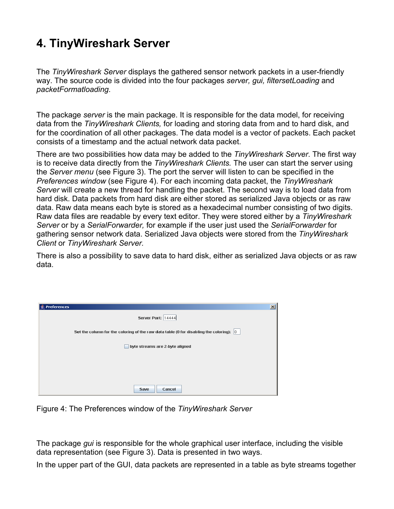### **4. TinyWireshark Server**

The *TinyWireshark Server* displays the gathered sensor network packets in a user-friendly way. The source code is divided into the four packages *server, gui, filtersetLoading* and *packetFormatloading*.

The package *server* is the main package. It is responsible for the data model, for receiving data from the *TinyWireshark Clients,* for loading and storing data from and to hard disk, and for the coordination of all other packages. The data model is a vector of packets. Each packet consists of a timestamp and the actual network data packet.

There are two possibilities how data may be added to the *TinyWireshark Server*. The first way is to receive data directly from the *TinyWireshark Clients.* The user can start the server using the *Server menu* (see Figure 3). The port the server will listen to can be specified in the *Preferences window* (see Figure 4). For each incoming data packet, the *TinyWireshark Server* will create a new thread for handling the packet. The second way is to load data from hard disk. Data packets from hard disk are either stored as serialized Java objects or as raw data. Raw data means each byte is stored as a hexadecimal number consisting of two digits. Raw data files are readable by every text editor. They were stored either by a *TinyWireshark Server* or by a *SerialForwarder,* for example if the user just used the *SerialForwarder* for gathering sensor network data. Serialized Java objects were stored from the *TinyWireshark Client* or *TinyWireshark Server.*

There is also a possibility to save data to hard disk, either as serialized Java objects or as raw data.

| <b>Preferences</b>                                                                      | $\mathbf{x}$ |
|-----------------------------------------------------------------------------------------|--------------|
| Server Port: 14444                                                                      |              |
| Set the column for the coloring of the raw data table (0 for disabling the coloring): 0 |              |
| byte streams are 2-byte aligned                                                         |              |
|                                                                                         |              |
|                                                                                         |              |
| Save<br>Cancel                                                                          |              |

Figure 4: The Preferences window of the *TinyWireshark Server*

The package *gui* is responsible for the whole graphical user interface, including the visible data representation (see Figure 3). Data is presented in two ways.

In the upper part of the GUI, data packets are represented in a table as byte streams together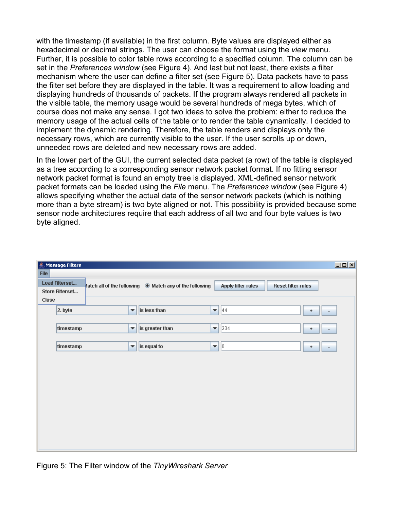with the timestamp (if available) in the first column. Byte values are displayed either as hexadecimal or decimal strings. The user can choose the format using the *view* menu. Further, it is possible to color table rows according to a specified column. The column can be set in the *Preferences window* (see Figure 4). And last but not least, there exists a filter mechanism where the user can define a filter set (see Figure 5). Data packets have to pass the filter set before they are displayed in the table. It was a requirement to allow loading and displaying hundreds of thousands of packets. If the program always rendered all packets in the visible table, the memory usage would be several hundreds of mega bytes, which of course does not make any sense. I got two ideas to solve the problem: either to reduce the memory usage of the actual cells of the table or to render the table dynamically. I decided to implement the dynamic rendering. Therefore, the table renders and displays only the necessary rows, which are currently visible to the user. If the user scrolls up or down, unneeded rows are deleted and new necessary rows are added.

In the lower part of the GUI, the current selected data packet (a row) of the table is displayed as a tree according to a corresponding sensor network packet format. If no fitting sensor network packet format is found an empty tree is displayed. XML-defined sensor network packet formats can be loaded using the *File* menu. The *Preferences window* (see Figure 4) allows specifying whether the actual data of the sensor network packets (which is nothing more than a byte stream) is two byte aligned or not. This possibility is provided because some sensor node architectures require that each address of all two and four byte values is two byte aligned.

|             | <b>Message Filters</b>                   |                      |                                                               |                         |                           |                           | $\Box$ |
|-------------|------------------------------------------|----------------------|---------------------------------------------------------------|-------------------------|---------------------------|---------------------------|--------|
| <b>File</b> | <b>Load Filterset</b><br>Store Filterset |                      | flatch all of the following <b>Match any of the following</b> |                         | <b>Apply filter rules</b> | <b>Reset filter rules</b> |        |
| Close       | $2.$ byte                                | $\blacktriangledown$ | is less than                                                  | ▼                       | 44                        | ۰                         |        |
|             | timestamp                                | $\blacktriangledown$ | is greater than                                               | $\overline{\mathbf{v}}$ | 234                       | ٠                         |        |
|             | timestamp                                | $\blacktriangledown$ | is equal to                                                   | $\blacktriangledown$    | 0                         | ۰                         |        |
|             |                                          |                      |                                                               |                         |                           |                           |        |
|             |                                          |                      |                                                               |                         |                           |                           |        |
|             |                                          |                      |                                                               |                         |                           |                           |        |
|             |                                          |                      |                                                               |                         |                           |                           |        |
|             |                                          |                      |                                                               |                         |                           |                           |        |
|             |                                          |                      |                                                               |                         |                           |                           |        |

Figure 5: The Filter window of the *TinyWireshark Server*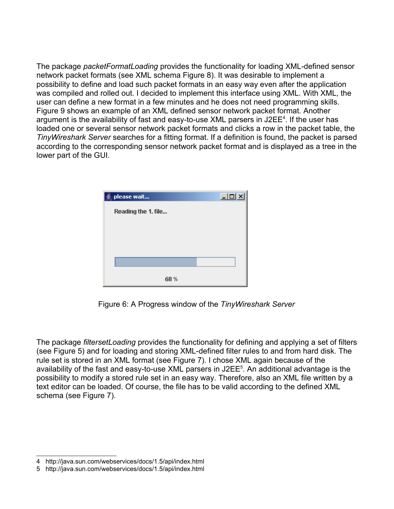The package *packetFormatLoading* provides the functionality for loading XML-defined sensor network packet formats (see XML schema Figure 8). It was desirable to implement a possibility to define and load such packet formats in an easy way even after the application was compiled and rolled out. I decided to implement this interface using XML. With XML, the user can define a new format in a few minutes and he does not need programming skills. Figure 9 shows an example of an XML defined sensor network packet format. Another argument is the availability of fast and easy-to-use XML parsers in J2EE<sup>[4](#page-10-0)</sup>. If the user has loaded one or several sensor network packet formats and clicks a row in the packet table, the *TinyWireshark Server* searches for a fitting format. If a definition is found, the packet is parsed according to the corresponding sensor network packet format and is displayed as a tree in the lower part of the GUI.

| please wait         | $\Box$ ol $\times$ |
|---------------------|--------------------|
| Reading the 1. file |                    |
|                     |                    |
|                     |                    |
|                     |                    |
|                     |                    |
| 68 %                |                    |

Figure 6: A Progress window of the *TinyWireshark Server*

The package *filtersetLoading* provides the functionality for defining and applying a set of filters (see Figure 5) and for loading and storing XML-defined filter rules to and from hard disk. The rule set is stored in an XML format (see Figure 7). I chose XML again because of the availability of the fast and easy-to-use XML parsers in J2EE<sup>[5](#page-10-1)</sup>. An additional advantage is the possibility to modify a stored rule set in an easy way. Therefore, also an XML file written by a text editor can be loaded. Of course, the file has to be valid according to the defined XML schema (see Figure 7).

<span id="page-10-0"></span><sup>4</sup> http://java.sun.com/webservices/docs/1.5/api/index.html

<span id="page-10-1"></span><sup>5</sup> http://java.sun.com/webservices/docs/1.5/api/index.html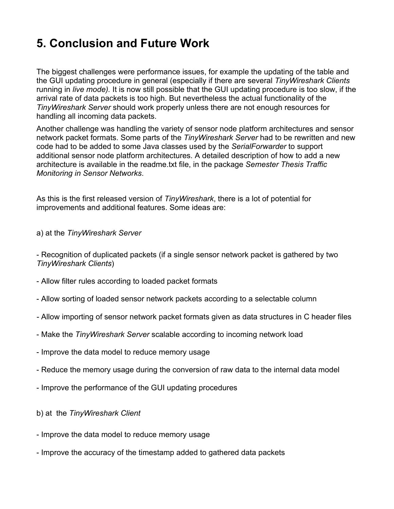### **5. Conclusion and Future Work**

The biggest challenges were performance issues, for example the updating of the table and the GUI updating procedure in general (especially if there are several *TinyWireshark Clients* running in *live mode).* It is now still possible that the GUI updating procedure is too slow, if the arrival rate of data packets is too high. But nevertheless the actual functionality of the *TinyWireshark Server* should work properly unless there are not enough resources for handling all incoming data packets.

Another challenge was handling the variety of sensor node platform architectures and sensor network packet formats. Some parts of the *TinyWireshark Server* had to be rewritten and new code had to be added to some Java classes used by the *SerialForwarder* to support additional sensor node platform architectures. A detailed description of how to add a new architecture is available in the readme.txt file, in the package *Semester Thesis Traffic Monitoring in Sensor Networks*.

As this is the first released version of *TinyWireshark*, there is a lot of potential for improvements and additional features. Some ideas are:

a) at the *TinyWireshark Server*

- Recognition of duplicated packets (if a single sensor network packet is gathered by two *TinyWireshark Clients*)

- Allow filter rules according to loaded packet formats
- Allow sorting of loaded sensor network packets according to a selectable column
- Allow importing of sensor network packet formats given as data structures in C header files
- Make the *TinyWireshark Server* scalable according to incoming network load
- Improve the data model to reduce memory usage
- Reduce the memory usage during the conversion of raw data to the internal data model
- Improve the performance of the GUI updating procedures
- b) at the *TinyWireshark Client*
- Improve the data model to reduce memory usage
- Improve the accuracy of the timestamp added to gathered data packets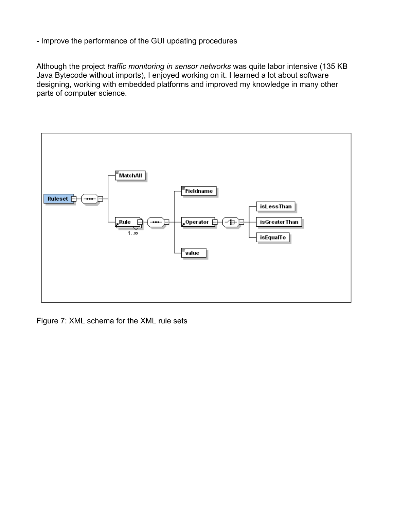- Improve the performance of the GUI updating procedures

Although the project *traffic monitoring in sensor networks* was quite labor intensive (135 KB Java Bytecode without imports), I enjoyed working on it. I learned a lot about software designing, working with embedded platforms and improved my knowledge in many other parts of computer science.



Figure 7: XML schema for the XML rule sets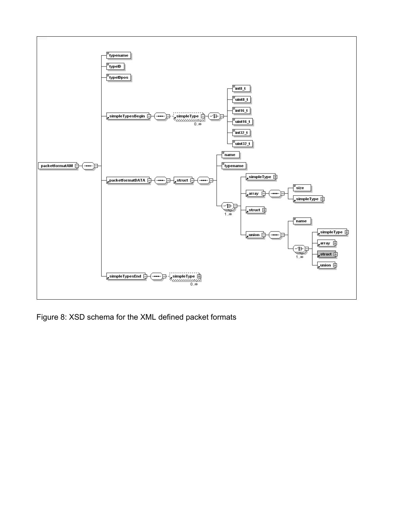

Figure 8: XSD schema for the XML defined packet formats